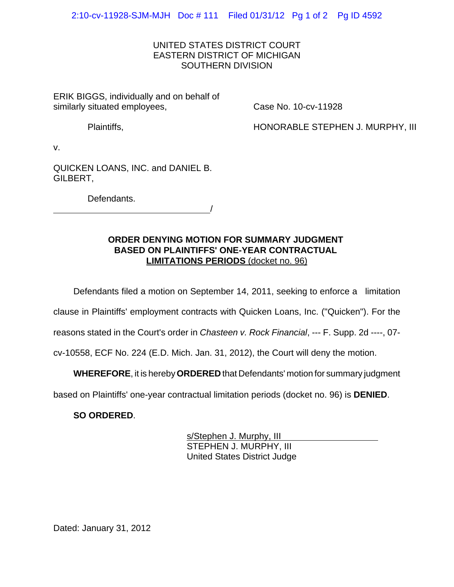## UNITED STATES DISTRICT COURT EASTERN DISTRICT OF MICHIGAN SOUTHERN DIVISION

ERIK BIGGS, individually and on behalf of similarly situated employees,

Case No. 10-cv-11928

Plaintiffs,

HONORABLE STEPHEN J. MURPHY, III

v.

QUICKEN LOANS, INC. and DANIEL B. GILBERT,

Defendants.

<u>/</u>

## **ORDER DENYING MOTION FOR SUMMARY JUDGMENT BASED ON PLAINTIFFS' ONE-YEAR CONTRACTUAL LIMITATIONS PERIODS** (docket no. 96)

Defendants filed a motion on September 14, 2011, seeking to enforce a limitation

clause in Plaintiffs' employment contracts with Quicken Loans, Inc. ("Quicken"). For the

reasons stated in the Court's order in *Chasteen v. Rock Financial*, --- F. Supp. 2d ----, 07-

cv-10558, ECF No. 224 (E.D. Mich. Jan. 31, 2012), the Court will deny the motion.

**WHEREFORE**, it is hereby **ORDERED** that Defendants' motion for summary judgment

based on Plaintiffs' one-year contractual limitation periods (docket no. 96) is **DENIED**.

**SO ORDERED**.

s/Stephen J. Murphy, III STEPHEN J. MURPHY, III United States District Judge

Dated: January 31, 2012